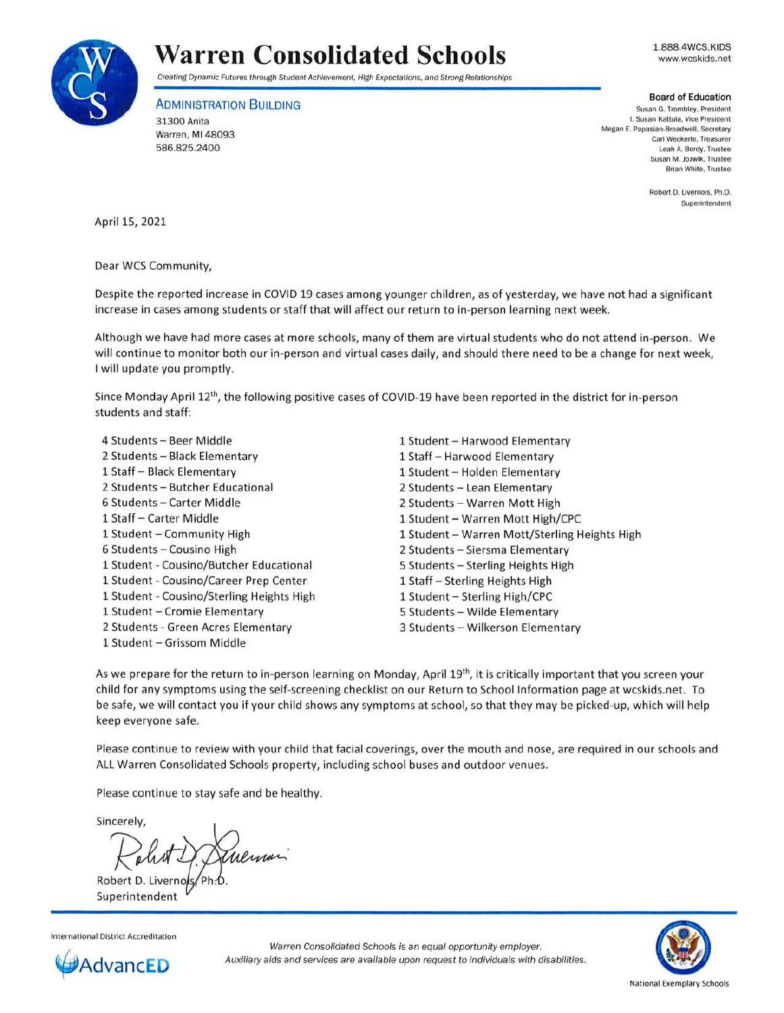

## **Warren Consolidated Schools**

1.888.4WCS.KIDS www.wcskids.net

Creating Dynamic Futures through Student Achievement, High Expectations, and Strong Relationships

ADMINISTRATION BUILDING 31300 Anita Warren, Ml 48093

586.825.2400

**Board** of Education **Susan G. Trombley, President I. Susan Kattula, Vice President Megan E. Papasian-Broadwetl , Secretary Carl Weckerle, Treasurer** Leah A. Berdy, Trustee **Susan M. Jozwik. Trustee Brian White. Trustee** 

> **Robert D. Livernois. Ph.D. Superintendent**

April 15, 2021

Dear WCS Community,

Despite the reported increase in COVID 19 cases among younger children, as of yesterday, we have not had a significant increase in cases among students or staff that will affect our return to in-person learning next week.

Although we have had more cases at more schools, many of them are virtual students who do not attend in-person. We will continue to monitor both our in-person and virtual cases daily, and should there need to be a change for next week, I will update you promptly.

Since Monday April 12<sup>th</sup>, the following positive cases of COVID-19 have been reported in the district for in-person students and staff:

4 Students - Beer Middle 2 Students - Black Elementary 1 Staff - Black Elementary 2 Students - Butcher Educational 6 Students - Carter Middle 1 Staff - Carter Middle 1 Student - Community High 6 Students - Cousino High 1 Student - Cousino/Butcher Educational 1 Student - Cousino/Career Prep Center 1 Student - Cousino/Sterling Heights High 1 Student - Cromie Elementary 2 Students - Green Acres Elementary 1 Student - Harwood Elementary 1 Staff - Harwood Elementary 1 Student - Holden Elementary 2 Students - Lean Elementary 2 Students - Warren Mott High 1 Student - Warren Mott High/CPC 1 Student - Warren Mott/Sterling Heights High 2 Students - Siersma Elementary 5 Students - Sterling Heights High 1 Staff - Sterling Heights High 1 Student - Sterling High/CPC 5 Students - Wilde Elementary 3 Students - Wilkerson Elementary

As we prepare for the return to in-person learning on Monday, April 19<sup>th</sup>, it is critically important that you screen your child for any symptoms using the self-screening checklist on our Return to School Information page at wcskids.net. To be safe, we will contact you if your child shows any symptoms at school, so that they may be picked-up, which will help keep everyone safe.

Please continue to review with your child that facial coverings, over the mouth and nose, are required in our schools and ALL Warren Consolidated Schools property, including school buses and outdoor venues.

Please continue to stay safe and be healthy.

Sincerely,

*]?MY* 

1 Student - Grissom Middle

Robert D. Liverno Superintendent





Warren Consolidated Schools is an equal opportunity employer. Auxiliary aids and services are available upon request to individuals with disabilities.